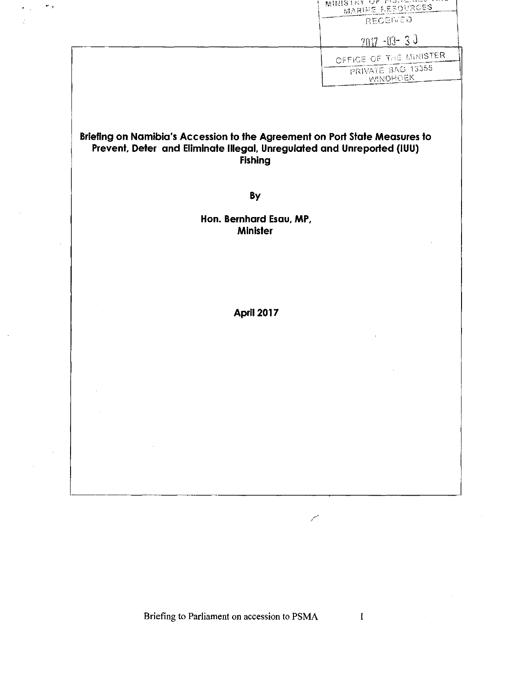|                                                                                                                                                                        | MINISTRY OF BOILER<br><b>MARINE RESOURCES</b> |
|------------------------------------------------------------------------------------------------------------------------------------------------------------------------|-----------------------------------------------|
|                                                                                                                                                                        | RECEIVED                                      |
|                                                                                                                                                                        | $7017 - 03 - 33$                              |
|                                                                                                                                                                        | OFFICE OF THE MINISTER                        |
|                                                                                                                                                                        | <b>PRIVATE BAG 13355</b>                      |
|                                                                                                                                                                        | WINDHOEK                                      |
|                                                                                                                                                                        |                                               |
|                                                                                                                                                                        |                                               |
| Briefing on Namibia's Accession to the Agreement on Port State Measures to<br>Prevent, Deter and Eliminate Illegal, Unregulated and Unreported (IUU)<br><b>Fishing</b> |                                               |
|                                                                                                                                                                        | By                                            |
|                                                                                                                                                                        | Hon. Bernhard Esau, MP,<br><b>Minister</b>    |
|                                                                                                                                                                        |                                               |
|                                                                                                                                                                        | April 2017                                    |
|                                                                                                                                                                        |                                               |
|                                                                                                                                                                        |                                               |
|                                                                                                                                                                        |                                               |
|                                                                                                                                                                        |                                               |
|                                                                                                                                                                        |                                               |
|                                                                                                                                                                        |                                               |
|                                                                                                                                                                        |                                               |
|                                                                                                                                                                        |                                               |
|                                                                                                                                                                        |                                               |
|                                                                                                                                                                        |                                               |

 $\mathbf{e}^{\dagger}_{\mathbf{u},\mathbf{v}}$  ,  $\mathbf{e}^{\dagger}_{\mathbf{u},\mathbf{v}}$ 

÷.

 $\sim 10^7$ 

 $\sim$ 

 $\bar{1}$ 

 $\sim$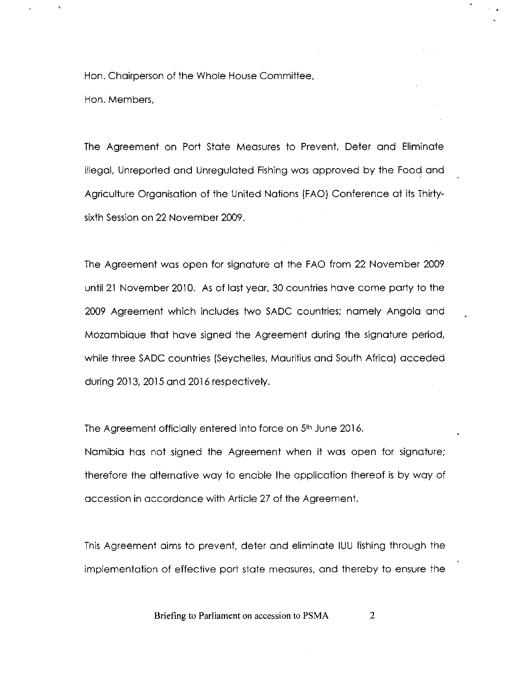Hon. Chairperson of the Whole House Committee,

Hon. Members,

The Agreement on Port State Measures to Prevent, Deter and Eliminate Illegal, Unreported and Unregulated Fishing was approved by the Food and Agriculture Organisation of the United Nations (FAO) Conference at its Thirtysixth Session on 22 November 2009.

The Agreement was open for signature at the FAO from 22 November 2009 until 21 November 2010. As of last year, 30 countries have come party to the 2009 Agreement which includes two SADC countries; namely Angola and Mozambique that have signed the Agreement during the signature period, while three SADC countries (Seychelles, Mauritius and South Africa) acceded during 2013, 2015 and 2016 respectively.

The Agreement officially entered into force on 5<sup>th</sup> June 2016.

Namibia has not signed the Agreement when it was open for signature; therefore the alternative way to enable the application thereof is by way of accession in accordance with Article 27 of the Agreement.

This Agreement aims to prevent, deter and eliminate IUU fishing through the implementation of effective port state measures, and thereby to ensure the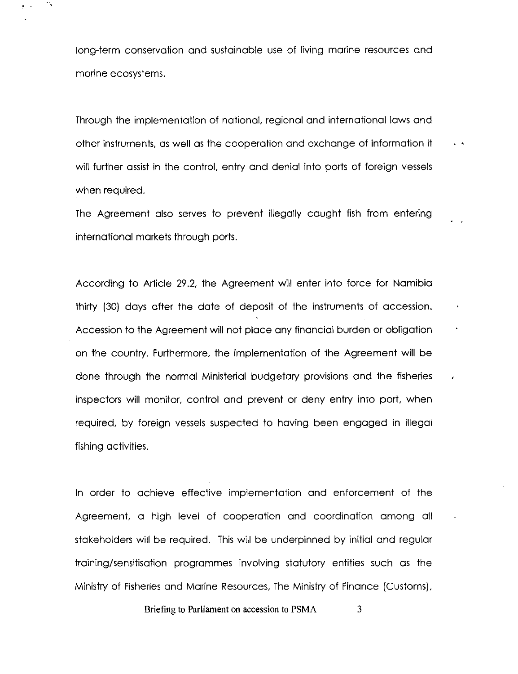long-term conservation and sustainable use of living marine resources and marine ecosystems.

 $\gamma_{\rm s}$ 

 $\sigma = \infty$ 

Through the implementation of national, regional and international laws and other instruments, as well as the cooperation and exchange of information it will further assist in the control, entry and denial into ports of foreign vessels when required.

The Agreement also serves to prevent illegally caught fish from entering international markets through ports.

According to Article 29.2, the Agreement will enter into force for Namibia thirty (30) days after the date of deposit of the instruments of accession. Accession to the Agreement will not place any financial burden or obligation on the country. Furthermore, the implementation of the Agreement will be done through the normal Ministerial budgetary provisions and the fisheries inspectors will monitor, control and prevent or deny entry into port, when required, by foreign vessels suspected to having been engaged in illegal fishing activities.

In order to achieve effective implementation and enforcement of the Agreement, a high level of cooperation and coordination among all stakeholders will be required. Thiswill be underpinned by initial and regular training/sensitisation programmes involving statutory entities such as the Ministry of Fisheries and Marine Resources, The Ministry of Finance (Customs),

Briefing to Parliament on accession to PSMA 3